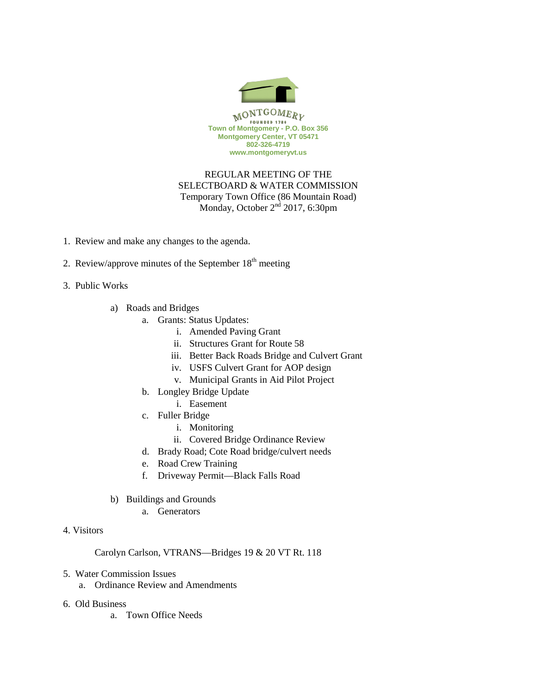

## REGULAR MEETING OF THE SELECTBOARD & WATER COMMISSION Temporary Town Office (86 Mountain Road) Monday, October  $2<sup>nd</sup>$  2017, 6:30pm

- 1. Review and make any changes to the agenda.
- 2. Review/approve minutes of the September  $18<sup>th</sup>$  meeting
- 3. Public Works
	- a) Roads and Bridges
		- a. Grants: Status Updates:
			- i. Amended Paving Grant
			- ii. Structures Grant for Route 58
			- iii. Better Back Roads Bridge and Culvert Grant
			- iv. USFS Culvert Grant for AOP design
			- v. Municipal Grants in Aid Pilot Project
		- b. Longley Bridge Update
			- i. Easement
		- c. Fuller Bridge
			- i. Monitoring
			- ii. Covered Bridge Ordinance Review
		- d. Brady Road; Cote Road bridge/culvert needs
		- e. Road Crew Training
		- f. Driveway Permit—Black Falls Road
	- b) Buildings and Grounds
		- a. Generators
- 4. Visitors

Carolyn Carlson, VTRANS—Bridges 19 & 20 VT Rt. 118

- 5. Water Commission Issues
	- a. Ordinance Review and Amendments
- 6. Old Business
	- a. Town Office Needs